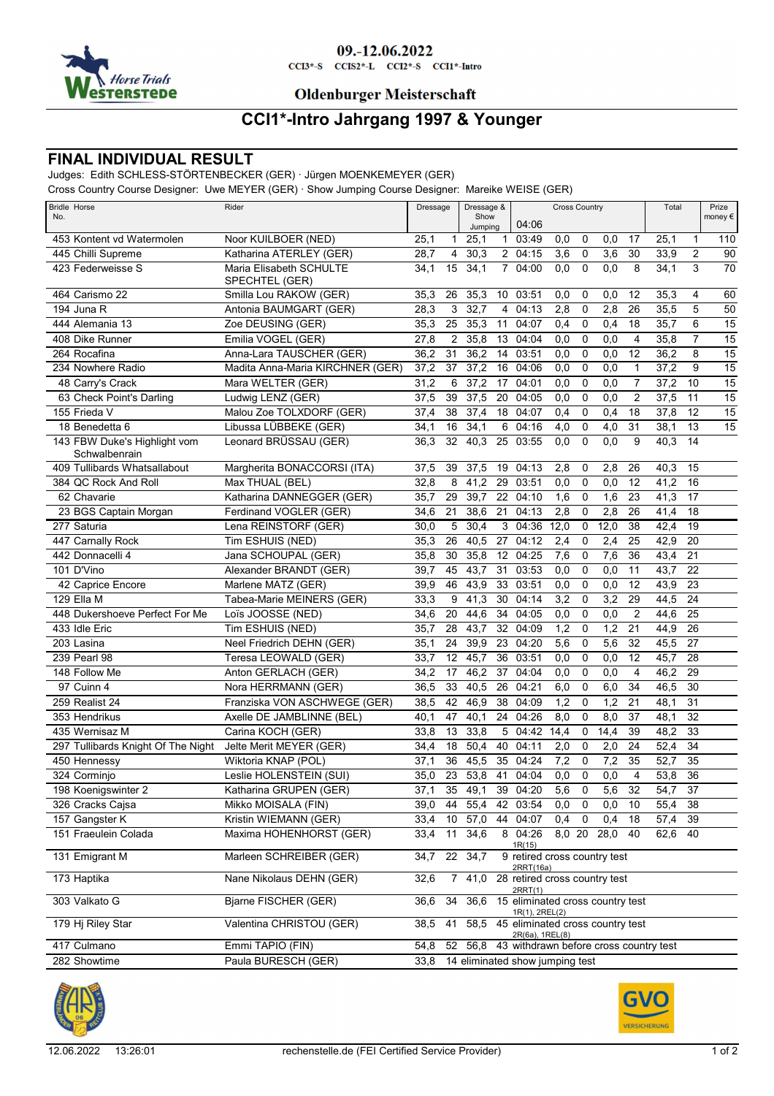

### 09.-12.06.2022

 $CCI3*-S$   $CCI52*-L$   $CCI2*-S$   $CCI1*-Intro$ 

### **Oldenburger Meisterschaft**

## **CCI1\*-Intro Jahrgang 1997 & Younger**

### **FINAL INDIVIDUAL RESULT**

Judges: Edith SCHLESS-STÖRTENBECKER (GER) · Jürgen MOENKEMEYER (GER)

Cross Country Course Designer: Uwe MEYER (GER) · Show Jumping Course Designer: Mareike WEISE (GER)

| <b>Bridle Horse</b><br>No.         | Rider                                     | Dressage &<br>Dressage<br>Show |              |         | <b>Cross Country</b> |                                                          |                  |                |                  | Total           |         | Prize<br>money $\epsilon$ |                 |
|------------------------------------|-------------------------------------------|--------------------------------|--------------|---------|----------------------|----------------------------------------------------------|------------------|----------------|------------------|-----------------|---------|---------------------------|-----------------|
|                                    |                                           |                                |              | Jumpina |                      | 04:06                                                    |                  |                |                  |                 |         |                           |                 |
| 453 Kontent vd Watermolen          | Noor KUILBOER (NED)                       | 25,1                           | $\mathbf{1}$ | 25,1    | $\mathbf{1}$         | 03:49                                                    | 0,0              | 0              | 0,0              | 17              | 25,1    | 1                         | 110             |
| 445 Chilli Supreme                 | Katharina ATERLEY (GER)                   | 28,7                           | 4            | 30,3    |                      | 2 04:15                                                  | 3,6              | 0              | 3,6              | 30              | 33,9    | $\overline{2}$            | 90              |
| 423 Federweisse S                  | Maria Elisabeth SCHULTE<br>SPECHTEL (GER) | 34,1                           | 15           | 34,1    | $7^{\circ}$          | 04:00                                                    | 0,0              | $\mathbf 0$    | 0,0              | 8               | 34,1    | 3                         | $\overline{70}$ |
| 464 Carismo 22                     | Smilla Lou RAKOW (GER)                    | 35,3                           | 26           | 35,3    | 10 <sup>°</sup>      | 03:51                                                    | 0,0              | 0              | 0,0              | 12              | 35,3    | 4                         | 60              |
| 194 Juna R                         | Antonia BAUMGART (GER)                    | 28,3                           | 3            | 32,7    | $\overline{4}$       | 04:13                                                    | 2,8              | 0              | 2,8              | 26              | 35,5    | 5                         | $\overline{50}$ |
| 444 Alemania 13                    | Zoe DEUSING (GER)                         | 35,3                           | 25           | 35,3    | 11                   | 04:07                                                    | 0,4              | 0              | 0,4              | 18              | 35,7    | 6                         | 15              |
| 408 Dike Runner                    | Emilia VOGEL (GER)                        | 27,8                           | 2            | 35,8    | 13                   | 04:04                                                    | 0,0              | 0              | 0,0              | 4               | 35,8    | 7                         | $\overline{15}$ |
| 264 Rocafina                       | Anna-Lara TAUSCHER (GER)                  | 36,2                           | 31           | 36,2    | 14                   | 03:51                                                    | 0,0              | 0              | 0,0              | 12              | 36,2    | 8                         | $\overline{15}$ |
| 234 Nowhere Radio                  | Madita Anna-Maria KIRCHNER (GER)          | 37,2                           | 37           | 37,2    | 16                   | 04:06                                                    | 0,0              | 0              | 0,0              | $\mathbf{1}$    | 37,2    | $\boldsymbol{9}$          | 15              |
| 48 Carry's Crack                   | Mara WELTER (GER)                         | 31,2                           | 6            | 37,2    | 17                   | 04:01                                                    | 0,0              | 0              | 0,0              | 7               | 37,2    | 10                        | 15              |
| 63 Check Point's Darling           | Ludwig LENZ (GER)                         | 37,5                           | 39           | 37,5    | 20                   | 04:05                                                    | 0,0              | 0              | 0,0              | $\overline{2}$  | 37,5    | 11                        | 15              |
| 155 Frieda V                       | Malou Zoe TOLXDORF (GER)                  | 37,4                           | 38           | 37,4    | 18                   | 04:07                                                    | 0,4              | $\pmb{0}$      | 0,4              | 18              | 37,8    | 12                        | 15              |
| 18 Benedetta 6                     | Libussa LÜBBEKE (GER)                     | 34,1                           | 16           | 34,1    | 6                    | 04:16                                                    | 4,0              | 0              | 4,0              | 31              | 38,1    | 13                        | 15              |
| 143 FBW Duke's Highlight vom       | Leonard BRÜSSAU (GER)                     | 36,3                           | 32           | 40,3    | 25                   | 03:55                                                    | 0,0              | $\mathbf 0$    | 0,0              | 9               | 40.3    | 14                        |                 |
| Schwalbenrain                      |                                           |                                |              |         |                      |                                                          |                  |                |                  |                 |         |                           |                 |
| 409 Tullibards Whatsallabout       | Margherita BONACCORSI (ITA)               | 37,5                           | 39           | 37,5    | 19                   | 04:13                                                    | 2,8              | 0              | 2,8              | 26              | 40,3    | 15                        |                 |
| 384 QC Rock And Roll               | Max THUAL (BEL)                           | 32,8                           | 8            | 41,2    | 29                   | 03:51                                                    | 0,0              | $\pmb{0}$      | 0,0              | 12              | 41,2    | 16                        |                 |
| 62 Chavarie                        | Katharina DANNEGGER (GER)                 | 35,7                           | 29           | 39,7    | 22                   | 04:10                                                    | 1,6              | 0              | 1,6              | 23              | 41,3    | 17                        |                 |
| 23 BGS Captain Morgan              | Ferdinand VOGLER (GER)                    | 34,6                           | 21           | 38,6    | 21                   | 04:13                                                    | 2,8              | 0              | 2,8              | 26              | 41,4    | 18                        |                 |
| 277 Saturia                        | Lena REINSTORF (GER)                      | 30,0                           | 5            | 30,4    |                      | $3\quad04:36$                                            | 12,0             | 0              | 12,0             | 38              | 42,4    | 19                        |                 |
| 447 Carnally Rock                  | Tim ESHUIS (NED)                          | 35,3                           | 26           | 40,5    | 27                   | 04:12                                                    | 2,4              | 0              | 2,4              | 25              | 42,9    | 20                        |                 |
| 442 Donnacelli 4                   | Jana SCHOUPAL (GER)                       | 35,8                           | 30           | 35,8    |                      | 12 04:25                                                 | 7,6              | 0              | 7,6              | 36              | 43,4    | 21                        |                 |
| 101 D'Vino                         | Alexander BRANDT (GER)                    | 39,7                           | 45           | 43,7    | 31                   | 03:53                                                    | 0,0              | $\mathbf 0$    | 0,0              | 11              | 43,7    | 22                        |                 |
| 42 Caprice Encore                  | Marlene MATZ (GER)                        | 39,9                           | 46           | 43,9    | 33                   | 03:51                                                    | 0,0              | $\mathbf 0$    | 0,0              | 12              | 43,9    | 23                        |                 |
| 129 Ella M                         | Tabea-Marie MEINERS (GER)                 | 33,3                           | 9            | 41,3    | 30                   | 04:14                                                    | 3,2              | $\pmb{0}$      | 3,2              | 29              | 44,5    | 24                        |                 |
| 448 Dukershoeve Perfect For Me     | Loïs JOOSSE (NED)                         | 34,6                           | 20           | 44,6    | 34                   | 04:05                                                    | 0,0              | 0              | 0,0              | $\overline{2}$  | 44,6    | 25                        |                 |
| 433 Idle Eric                      | Tim ESHUIS (NED)                          | 35,7                           | 28           | 43,7    | 32                   | 04:09                                                    | 1,2              | 0              | 1,2              | 21              | 44,9    | 26                        |                 |
| 203 Lasina                         | Neel Friedrich DEHN (GER)                 | 35,1                           | 24           | 39,9    | 23                   | 04:20                                                    | 5,6              | 0              | 5,6              | 32              | 45,5    | 27                        |                 |
| 239 Pearl 98                       | Teresa LEOWALD (GER)                      | 33,7                           | 12           | 45,7    | 36                   | 03:51                                                    | 0,0              | 0              | 0,0              | 12              | 45,7    | 28                        |                 |
| 148 Follow Me                      | Anton GERLACH (GER)                       | 34,2                           | 17           | 46,2    | 37                   | 04:04                                                    | 0,0              | $\pmb{0}$      | 0,0              | 4               | 46,2    | 29                        |                 |
| 97 Cuinn 4                         | Nora HERRMANN (GER)                       | 36,5                           | 33           | 40,5    | 26                   | 04:21                                                    | 6,0              | 0              | 6,0              | 34              | 46,5    | 30                        |                 |
| 259 Realist 24                     | Franziska VON ASCHWEGE (GER)              | 38,5                           | 42           | 46,9    | 38                   | 04:09                                                    | 1,2              | 0              | 1,2              | 21              | 48,1    | 31                        |                 |
| 353 Hendrikus                      | Axelle DE JAMBLINNE (BEL)                 | 40,1                           | 47           | 40,1    | 24                   | 04:26                                                    | 8,0              | 0              | 8,0              | 37              | 48,1    | 32                        |                 |
| 435 Wernisaz M                     | Carina KOCH (GER)                         | 33,8                           | 13           | 33,8    | 5                    | 04:42                                                    | 14,4             | 0              | 14,4             | 39              | 48,2    | 33                        |                 |
| 297 Tullibards Knight Of The Night | Jelte Merit MEYER (GER)                   | 34,4                           | 18           | 50,4    | 40                   | 04:11                                                    | 2,0              | 0              | 2,0              | 24              | 52,4    | 34                        |                 |
| 450 Hennessy                       | Wiktoria KNAP (POL)                       | 37,1                           | 36           | 45,5    | 35                   | 04:24                                                    | 7,2              | 0              | 7,2              | 35              | 52,7    | 35                        |                 |
| 324 Corminjo                       | Leslie HOLENSTEIN (SUI)                   | 35,0                           | 23           | 53,8    | 41                   | 04:04                                                    | 0,0              | $\mathbf 0$    | 0,0              | 4               | 53,8    | 36                        |                 |
| 198 Koenigswinter 2                | Katharina GRUPEN (GER)                    | 37,1                           |              |         |                      | 35 49,1 39 04:20                                         | $\overline{5,6}$ | $\overline{0}$ | $\overline{5,6}$ | $\overline{32}$ | 54,7    | $\overline{37}$           |                 |
| 326 Cracks Cajsa                   | Mikko MOISALA (FIN)                       | 39,0                           | 44           | 55,4    |                      | 42 03:54                                                 | 0,0              | 0              | 0,0              | 10              | 55,4    | 38                        |                 |
| 157 Gangster K                     | Kristin WIEMANN (GER)                     | 33,4                           | 10           | 57,0    | 44                   | 04:07                                                    | 0,4              | 0              | 0,4              | 18              | 57,4    | 39                        |                 |
| 151 Fraeulein Colada               | Maxima HOHENHORST (GER)                   | 33,4                           | 11           | 34,6    |                      | 8 04:26                                                  | 8,0 20           |                | 28,0             | 40              | 62,6 40 |                           |                 |
|                                    |                                           |                                |              |         |                      | 1R(15)                                                   |                  |                |                  |                 |         |                           |                 |
| 131 Emigrant M                     | Marleen SCHREIBER (GER)                   | 34,7                           |              | 22 34,7 |                      | 9 retired cross country test<br>2RRT(16a)                |                  |                |                  |                 |         |                           |                 |
| 173 Haptika                        | Nane Nikolaus DEHN (GER)                  | 32,6                           |              |         |                      | 7 41,0 28 retired cross country test<br>2RRT(1)          |                  |                |                  |                 |         |                           |                 |
| 303 Valkato G                      | Bjarne FISCHER (GER)                      | 36,6                           | 34           |         |                      | 36,6 15 eliminated cross country test<br>1R(1), 2REL(2)  |                  |                |                  |                 |         |                           |                 |
| 179 Hj Riley Star                  | Valentina CHRISTOU (GER)                  | 38,5                           | 41           |         |                      | 58,5 45 eliminated cross country test<br>2R(6a), 1REL(8) |                  |                |                  |                 |         |                           |                 |
| 417 Culmano                        | Emmi TAPIO (FIN)                          | 54,8                           | 52           |         |                      | 56,8 43 withdrawn before cross country test              |                  |                |                  |                 |         |                           |                 |
| 282 Showtime                       | Paula BURESCH (GER)                       |                                |              |         |                      | 33,8 14 eliminated show jumping test                     |                  |                |                  |                 |         |                           |                 |